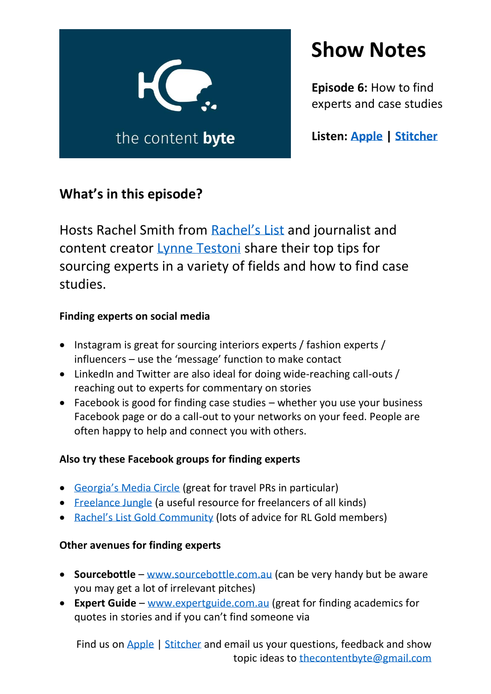

# **Show Notes**

**Episode 6:** How to find experts and case studies

**Listen: [Apple](https://podcasts.apple.com/au/podcast/the-content-byte/id1478510876) | [Stitcher](https://www.stitcher.com/podcast/the-content-byte?refid=stpr)**

# **What's in this episode?**

Hosts Rachel Smith from [Rachel's List](https://www.rachelslist.com.au/) and journalist and content creator [Lynne Testoni](https://www.lynnetestoni.com/) share their top tips for sourcing experts in a variety of fields and how to find case studies.

### **Finding experts on social media**

- Instagram is great for sourcing interiors experts / fashion experts / influencers – use the 'message' function to make contact
- LinkedIn and Twitter are also ideal for doing wide-reaching call-outs / reaching out to experts for commentary on stories
- Facebook is good for finding case studies whether you use your business Facebook page or do a call-out to your networks on your feed. People are often happy to help and connect you with others.

## **Also try these Facebook groups for finding experts**

- [Georgia's Media Circle](https://www.facebook.com/groups/780106228819776/) (great for travel PRs in particular)
- [Freelance Jungle](https://www.facebook.com/groups/freelancejungle/) (a useful resource for freelancers of all kinds)
- [Rachel's List Gold](https://www.facebook.com/groups/RachelsListGoldCommunity/) Community (lots of advice for RL Gold members)

### **Other avenues for finding experts**

- **Sourcebottle** [www.sourcebottle.com.au](http://www.sourcebottle.com.au/) (can be very handy but be aware you may get a lot of irrelevant pitches)
- **Expert Guide** [www.expertguide.com.au](http://www.expertguide.com.au/) (great for finding academics for quotes in stories and if you can't find someone via

Find us on [Apple](https://podcasts.apple.com/au/podcast/the-content-byte/id1478510876) | [Stitcher](https://www.stitcher.com/podcast/the-content-byte?refid=stpr) and email us your questions, feedback and show topic ideas to [thecontentbyte@gmail.com](mailto:thecontentbyte@gmail.com)